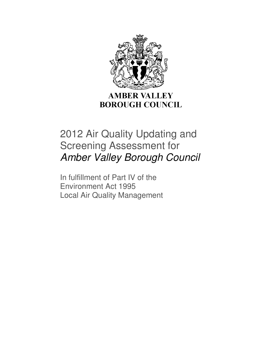

**BOROUGH COUNCIL** 

# 2012 Air Quality Updating and Screening Assessment for Amber Valley Borough Council

In fulfillment of Part IV of the Environment Act 1995 Local Air Quality Management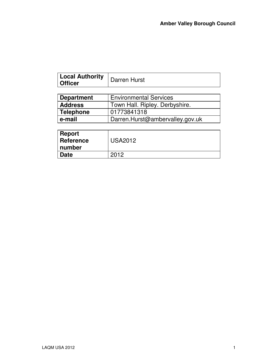J,

| <b>Local Authority</b><br>∣ Officer | Darren Hurst                  |  |
|-------------------------------------|-------------------------------|--|
|                                     |                               |  |
| <b>Department</b>                   | <b>Environmental Services</b> |  |

| <b>Address</b> | Town Hall. Ripley. Derbyshire.  |  |
|----------------|---------------------------------|--|
| Telephone      | 01773841318                     |  |
| ∣ e-mail       | Darren.Hurst@ambervalley.gov.uk |  |

| <b>Report</b><br><b>Reference</b><br>∣ number | <b>USA2012</b> |
|-----------------------------------------------|----------------|
| <b>Date</b>                                   | 2012           |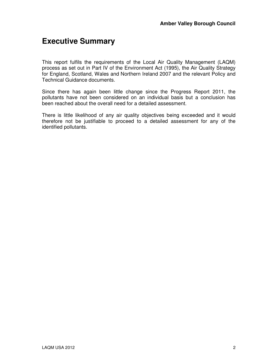# **Executive Summary**

This report fulfils the requirements of the Local Air Quality Management (LAQM) process as set out in Part IV of the Environment Act (1995), the Air Quality Strategy for England, Scotland, Wales and Northern Ireland 2007 and the relevant Policy and Technical Guidance documents.

Since there has again been little change since the Progress Report 2011, the pollutants have not been considered on an individual basis but a conclusion has been reached about the overall need for a detailed assessment.

There is little likelihood of any air quality objectives being exceeded and it would therefore not be justifiable to proceed to a detailed assessment for any of the identified pollutants.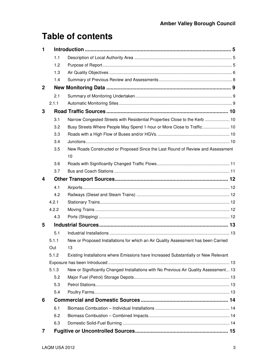# **Table of contents**

| 1            |       |                                                                                       |  |
|--------------|-------|---------------------------------------------------------------------------------------|--|
|              | 1.1   |                                                                                       |  |
|              | 1.2   |                                                                                       |  |
|              | 1.3   |                                                                                       |  |
|              | 1.4   |                                                                                       |  |
| $\mathbf{2}$ |       |                                                                                       |  |
|              | 2.1   |                                                                                       |  |
|              | 2.1.1 |                                                                                       |  |
| 3            |       |                                                                                       |  |
|              | 3.1   | Narrow Congested Streets with Residential Properties Close to the Kerb  10            |  |
|              | 3.2   | Busy Streets Where People May Spend 1-hour or More Close to Traffic 10                |  |
|              | 3.3   |                                                                                       |  |
|              | 3.4   |                                                                                       |  |
|              | 3.5   | New Roads Constructed or Proposed Since the Last Round of Review and Assessment<br>10 |  |
|              | 3.6   |                                                                                       |  |
|              | 3.7   |                                                                                       |  |
| 4            |       |                                                                                       |  |
|              | 4.1   |                                                                                       |  |
|              | 4.2   |                                                                                       |  |
|              | 4.2.1 |                                                                                       |  |
|              | 4.2.2 |                                                                                       |  |
|              | 4.3   |                                                                                       |  |
| 5            |       |                                                                                       |  |
|              | 5.1   |                                                                                       |  |
|              | 5.1.1 | New or Proposed Installations for which an Air Quality Assessment has been Carried    |  |
|              | Out   | 13                                                                                    |  |
|              | 5.1.2 | Existing Installations where Emissions have Increased Substantially or New Relevant   |  |
|              |       |                                                                                       |  |
|              | 5.1.3 | New or Significantly Changed Installations with No Previous Air Quality Assessment 13 |  |
|              | 5.2   |                                                                                       |  |
|              | 5.3   |                                                                                       |  |
|              | 5.4   |                                                                                       |  |
| 6            |       |                                                                                       |  |
|              | 6.1   |                                                                                       |  |
|              | 6.2   |                                                                                       |  |
|              | 6.3   |                                                                                       |  |
| 7            |       |                                                                                       |  |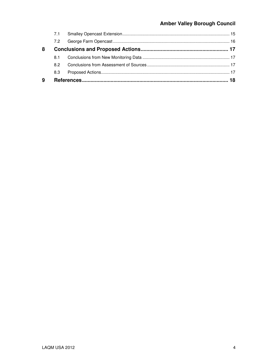### **Amber Valley Borough Council**

| 9 |     |  |  |
|---|-----|--|--|
|   | 8.3 |  |  |
|   | 8.2 |  |  |
|   | 8.1 |  |  |
| 8 |     |  |  |
|   | 7.2 |  |  |
|   |     |  |  |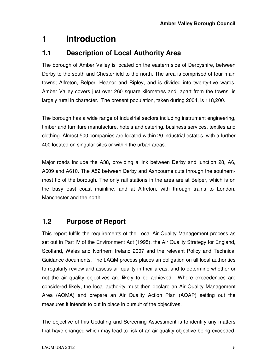# **1 Introduction**

### **1.1 Description of Local Authority Area**

The borough of Amber Valley is located on the eastern side of Derbyshire, between Derby to the south and Chesterfield to the north. The area is comprised of four main towns; Alfreton, Belper, Heanor and Ripley, and is divided into twenty-five wards. Amber Valley covers just over 260 square kilometres and, apart from the towns, is largely rural in character. The present population, taken during 2004, is 118,200.

The borough has a wide range of industrial sectors including instrument engineering, timber and furniture manufacture, hotels and catering, business services, textiles and clothing. Almost 500 companies are located within 20 industrial estates, with a further 400 located on singular sites or within the urban areas.

Major roads include the A38, providing a link between Derby and junction 28, A6, A609 and A610. The A52 between Derby and Ashbourne cuts through the southernmost tip of the borough. The only rail stations in the area are at Belper, which is on the busy east coast mainline, and at Alfreton, with through trains to London, Manchester and the north.

### **1.2 Purpose of Report**

This report fulfils the requirements of the Local Air Quality Management process as set out in Part IV of the Environment Act (1995), the Air Quality Strategy for England, Scotland, Wales and Northern Ireland 2007 and the relevant Policy and Technical Guidance documents. The LAQM process places an obligation on all local authorities to regularly review and assess air quality in their areas, and to determine whether or not the air quality objectives are likely to be achieved. Where exceedences are considered likely, the local authority must then declare an Air Quality Management Area (AQMA) and prepare an Air Quality Action Plan (AQAP) setting out the measures it intends to put in place in pursuit of the objectives.

The objective of this Updating and Screening Assessment is to identify any matters that have changed which may lead to risk of an air quality objective being exceeded.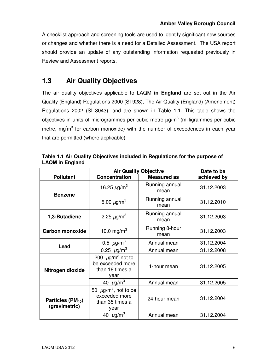A checklist approach and screening tools are used to identify significant new sources or changes and whether there is a need for a Detailed Assessment. The USA report should provide an update of any outstanding information requested previously in Review and Assessment reports.

## **1.3 Air Quality Objectives**

The air quality objectives applicable to LAQM **in England** are set out in the Air Quality (England) Regulations 2000 (SI 928), The Air Quality (England) (Amendment) Regulations 2002 (SI 3043), and are shown in Table 1.1. This table shows the objectives in units of microgrammes per cubic metre  $\mu$ g/m $^3$  (milligrammes per cubic metre, mg $'m^3$  for carbon monoxide) with the number of exceedences in each year that are permitted (where applicable).

|                                          | <b>Air Quality Objective</b>                                                      |                        | Date to be  |
|------------------------------------------|-----------------------------------------------------------------------------------|------------------------|-------------|
| <b>Pollutant</b>                         | <b>Concentration</b>                                                              | <b>Measured as</b>     | achieved by |
| <b>Benzene</b>                           | 16.25 $\mu$ g/m <sup>3</sup>                                                      | Running annual<br>mean | 31.12.2003  |
|                                          | 5.00 $\mu$ g/m <sup>3</sup>                                                       | Running annual<br>mean | 31.12.2010  |
| 1,3-Butadiene                            | 2.25 $\mu$ g/m <sup>3</sup>                                                       | Running annual<br>mean | 31.12.2003  |
| <b>Carbon monoxide</b>                   | 10.0 mg/m <sup>3</sup>                                                            | Running 8-hour<br>mean | 31.12.2003  |
|                                          | 0.5 $\mu$ g/m <sup>3</sup>                                                        | Annual mean            | 31.12.2004  |
| Lead                                     | 0.25 $\mu$ g/m <sup>3</sup>                                                       | Annual mean            | 31.12.2008  |
| Nitrogen dioxide                         | 200 $\mu$ g/m <sup>3</sup> not to<br>be exceeded more<br>than 18 times a<br>year  | 1-hour mean            | 31.12.2005  |
|                                          | 40 $\mu$ g/m <sup>3</sup>                                                         | Annual mean            | 31.12.2005  |
| Particles ( $PM_{10}$ )<br>(gravimetric) | 50 $\mu$ g/m <sup>3</sup> , not to be<br>exceeded more<br>than 35 times a<br>year | 24-hour mean           | 31.12.2004  |
|                                          | 40 $\mu$ g/m <sup>3</sup>                                                         | Annual mean            | 31.12.2004  |

**Table 1.1 Air Quality Objectives included in Regulations for the purpose of LAQM in England**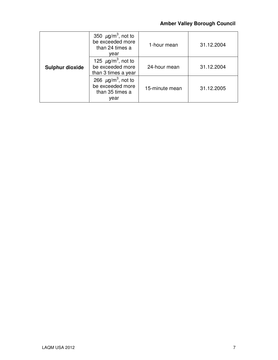### **Amber Valley Borough Council**

|                        | 350 $\mu$ g/m <sup>3</sup> , not to<br>be exceeded more<br>than 24 times a<br>vear | 1-hour mean    | 31.12.2004 |
|------------------------|------------------------------------------------------------------------------------|----------------|------------|
| <b>Sulphur dioxide</b> | 125 $\mu$ g/m <sup>3</sup> , not to<br>be exceeded more<br>than 3 times a year     | 24-hour mean   | 31.12.2004 |
|                        | 266 $\mu$ g/m <sup>3</sup> , not to<br>be exceeded more<br>than 35 times a<br>year | 15-minute mean | 31.12.2005 |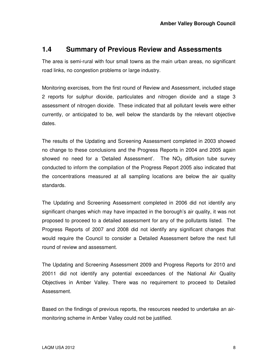#### **1.4 Summary of Previous Review and Assessments**

The area is semi-rural with four small towns as the main urban areas, no significant road links, no congestion problems or large industry.

Monitoring exercises, from the first round of Review and Assessment, included stage 2 reports for sulphur dioxide, particulates and nitrogen dioxide and a stage 3 assessment of nitrogen dioxide. These indicated that all pollutant levels were either currently, or anticipated to be, well below the standards by the relevant objective dates.

The results of the Updating and Screening Assessment completed in 2003 showed no change to these conclusions and the Progress Reports in 2004 and 2005 again showed no need for a 'Detailed Assessment'. The  $NO<sub>2</sub>$  diffusion tube survey conducted to inform the compilation of the Progress Report 2005 also indicated that the concentrations measured at all sampling locations are below the air quality standards.

The Updating and Screening Assessment completed in 2006 did not identify any significant changes which may have impacted in the borough's air quality, it was not proposed to proceed to a detailed assessment for any of the pollutants listed. The Progress Reports of 2007 and 2008 did not identify any significant changes that would require the Council to consider a Detailed Assessment before the next full round of review and assessment.

The Updating and Screening Assessment 2009 and Progress Reports for 2010 and 20011 did not identify any potential exceedances of the National Air Quality Objectives in Amber Valley. There was no requirement to proceed to Detailed Assessment.

Based on the findings of previous reports, the resources needed to undertake an airmonitoring scheme in Amber Valley could not be justified.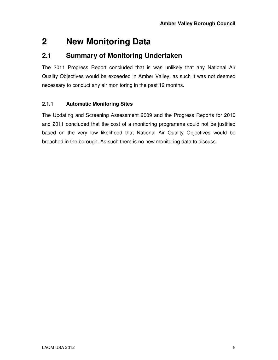# **2 New Monitoring Data**

### **2.1 Summary of Monitoring Undertaken**

The 2011 Progress Report concluded that is was unlikely that any National Air Quality Objectives would be exceeded in Amber Valley, as such it was not deemed necessary to conduct any air monitoring in the past 12 months.

#### **2.1.1 Automatic Monitoring Sites**

The Updating and Screening Assessment 2009 and the Progress Reports for 2010 and 2011 concluded that the cost of a monitoring programme could not be justified based on the very low likelihood that National Air Quality Objectives would be breached in the borough. As such there is no new monitoring data to discuss.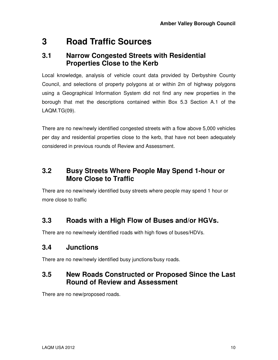# **3 Road Traffic Sources**

### **3.1 Narrow Congested Streets with Residential Properties Close to the Kerb**

Local knowledge, analysis of vehicle count data provided by Derbyshire County Council, and selections of property polygons at or within 2m of highway polygons using a Geographical Information System did not find any new properties in the borough that met the descriptions contained within Box 5.3 Section A.1 of the LAQM.TG(09).

There are no new/newly identified congested streets with a flow above 5,000 vehicles per day and residential properties close to the kerb, that have not been adequately considered in previous rounds of Review and Assessment.

### **3.2 Busy Streets Where People May Spend 1-hour or More Close to Traffic**

There are no new/newly identified busy streets where people may spend 1 hour or more close to traffic

# **3.3 Roads with a High Flow of Buses and/or HGVs.**

There are no new/newly identified roads with high flows of buses/HDVs.

# **3.4 Junctions**

There are no new/newly identified busy junctions/busy roads.

## **3.5 New Roads Constructed or Proposed Since the Last Round of Review and Assessment**

There are no new/proposed roads.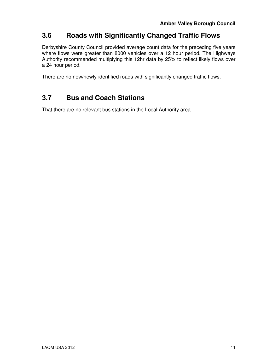## **3.6 Roads with Significantly Changed Traffic Flows**

Derbyshire County Council provided average count data for the preceding five years where flows were greater than 8000 vehicles over a 12 hour period. The Highways Authority recommended multiplying this 12hr data by 25% to reflect likely flows over a 24 hour period.

There are no new/newly-identified roads with significantly changed traffic flows.

# **3.7 Bus and Coach Stations**

That there are no relevant bus stations in the Local Authority area.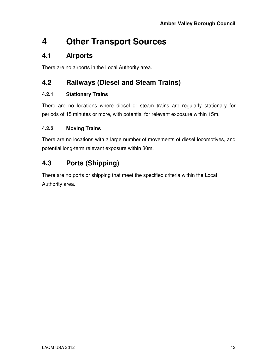# **4 Other Transport Sources**

### **4.1 Airports**

There are no airports in the Local Authority area.

## **4.2 Railways (Diesel and Steam Trains)**

#### **4.2.1 Stationary Trains**

There are no locations where diesel or steam trains are regularly stationary for periods of 15 minutes or more, with potential for relevant exposure within 15m.

#### **4.2.2 Moving Trains**

There are no locations with a large number of movements of diesel locomotives, and potential long-term relevant exposure within 30m.

# **4.3 Ports (Shipping)**

There are no ports or shipping that meet the specified criteria within the Local Authority area.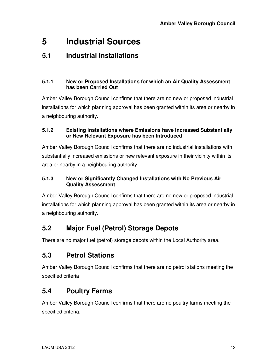# **5 Industrial Sources**

## **5.1 Industrial Installations**

#### **5.1.1 New or Proposed Installations for which an Air Quality Assessment has been Carried Out**

Amber Valley Borough Council confirms that there are no new or proposed industrial installations for which planning approval has been granted within its area or nearby in a neighbouring authority.

#### **5.1.2 Existing Installations where Emissions have Increased Substantially or New Relevant Exposure has been Introduced**

Amber Valley Borough Council confirms that there are no industrial installations with substantially increased emissions or new relevant exposure in their vicinity within its area or nearby in a neighbouring authority.

#### **5.1.3 New or Significantly Changed Installations with No Previous Air Quality Assessment**

Amber Valley Borough Council confirms that there are no new or proposed industrial installations for which planning approval has been granted within its area or nearby in a neighbouring authority.

# **5.2 Major Fuel (Petrol) Storage Depots**

There are no major fuel (petrol) storage depots within the Local Authority area.

# **5.3 Petrol Stations**

Amber Valley Borough Council confirms that there are no petrol stations meeting the specified criteria

# **5.4 Poultry Farms**

Amber Valley Borough Council confirms that there are no poultry farms meeting the specified criteria.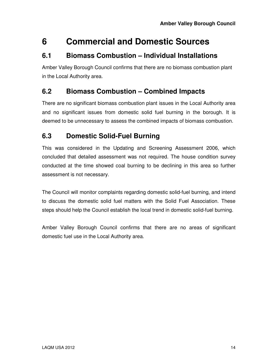# **6 Commercial and Domestic Sources**

## **6.1 Biomass Combustion – Individual Installations**

Amber Valley Borough Council confirms that there are no biomass combustion plant in the Local Authority area.

## **6.2 Biomass Combustion – Combined Impacts**

There are no significant biomass combustion plant issues in the Local Authority area and no significant issues from domestic solid fuel burning in the borough. It is deemed to be unnecessary to assess the combined impacts of biomass combustion.

## **6.3 Domestic Solid-Fuel Burning**

This was considered in the Updating and Screening Assessment 2006, which concluded that detailed assessment was not required. The house condition survey conducted at the time showed coal burning to be declining in this area so further assessment is not necessary.

The Council will monitor complaints regarding domestic solid-fuel burning, and intend to discuss the domestic solid fuel matters with the Solid Fuel Association. These steps should help the Council establish the local trend in domestic solid-fuel burning.

Amber Valley Borough Council confirms that there are no areas of significant domestic fuel use in the Local Authority area.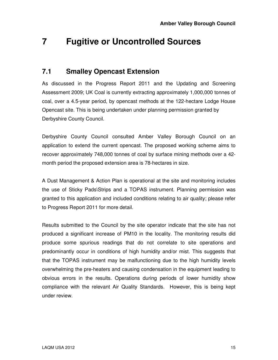# **7 Fugitive or Uncontrolled Sources**

### **7.1 Smalley Opencast Extension**

As discussed in the Progress Report 2011 and the Updating and Screening Assessment 2009; UK Coal is currently extracting approximately 1,000,000 tonnes of coal, over a 4.5-year period, by opencast methods at the 122-hectare Lodge House Opencast site. This is being undertaken under planning permission granted by Derbyshire County Council.

Derbyshire County Council consulted Amber Valley Borough Council on an application to extend the current opencast. The proposed working scheme aims to recover approximately 748,000 tonnes of coal by surface mining methods over a 42 month period the proposed extension area is 78-hectares in size.

A Dust Management & Action Plan is operational at the site and monitoring includes the use of Sticky Pads\Strips and a TOPAS instrument. Planning permission was granted to this application and included conditions relating to air quality; please refer to Progress Report 2011 for more detail.

Results submitted to the Council by the site operator indicate that the site has not produced a significant increase of PM10 in the locality. The monitoring results did produce some spurious readings that do not correlate to site operations and predominantly occur in conditions of high humidity and/or mist. This suggests that that the TOPAS instrument may be malfunctioning due to the high humidity levels overwhelming the pre-heaters and causing condensation in the equipment leading to obvious errors in the results. Operations during periods of lower humidity show compliance with the relevant Air Quality Standards. However, this is being kept under review.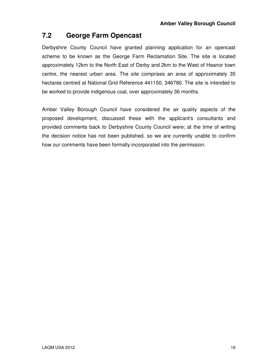## **7.2 George Farm Opencast**

Derbyshire County Council have granted planning application for an opencast scheme to be known as the George Farm Reclamation Site. The site is located approximately 12km to the North East of Derby and 2km to the West of Heanor town centre, the nearest urban area. The site comprises an area of approximately 35 hectares centred at National Grid Reference 441150, 346780. The site is intended to be worked to provide indigenous coal, over approximately 36 months.

Amber Valley Borough Council have considered the air quality aspects of the proposed development, discussed these with the applicant's consultants and provided comments back to Derbyshire County Council were; at the time of writing the decision notice has not been published, so we are currently unable to confirm how our comments have been formally incorporated into the permission.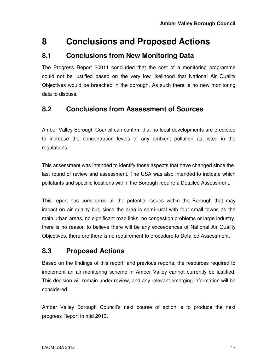# **8 Conclusions and Proposed Actions**

### **8.1 Conclusions from New Monitoring Data**

The Progress Report 20011 concluded that the cost of a monitoring programme could not be justified based on the very low likelihood that National Air Quality Objectives would be breached in the borough. As such there is no new monitoring data to discuss.

## **8.2 Conclusions from Assessment of Sources**

Amber Valley Borough Council can confirm that no local developments are predicted to increase the concentration levels of any ambient pollution as listed in the regulations.

This assessment was intended to identify those aspects that have changed since the last round of review and assessment. The USA was also intended to indicate which pollutants and specific locations within the Borough require a Detailed Assessment.

This report has considered all the potential issues within the Borough that may impact on air quality but, since the area is semi-rural with four small towns as the main urban areas, no significant road links, no congestion problems or large industry, there is no reason to believe there will be any exceedences of National Air Quality Objectives, therefore there is no requirement to procedure to Detailed Assessment.

# **8.3 Proposed Actions**

Based on the findings of this report, and previous reports, the resources required to implement an air-monitoring scheme in Amber Valley cannot currently be justified. This decision will remain under review, and any relevant emerging information will be considered.

Amber Valley Borough Council's next course of action is to produce the next progress Report in mid 2013.